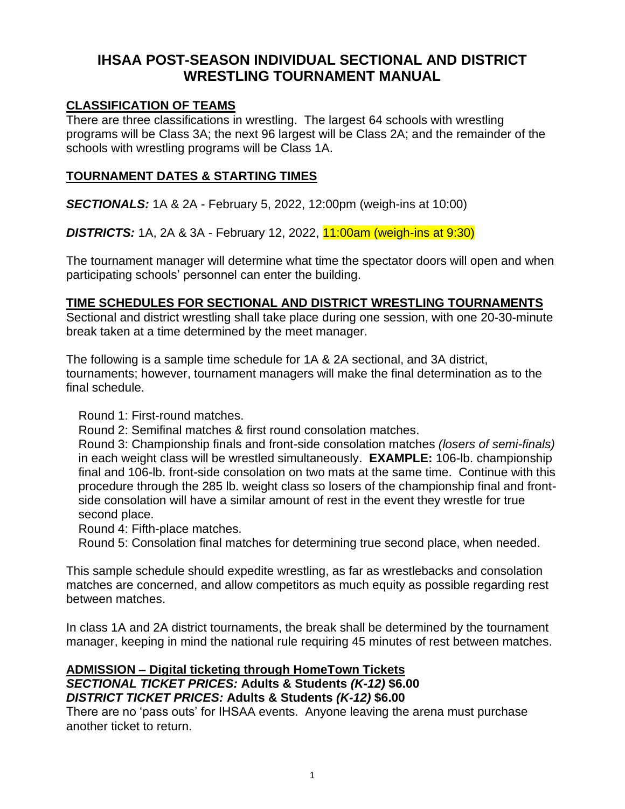# **IHSAA POST-SEASON INDIVIDUAL SECTIONAL AND DISTRICT WRESTLING TOURNAMENT MANUAL**

#### **CLASSIFICATION OF TEAMS**

There are three classifications in wrestling. The largest 64 schools with wrestling programs will be Class 3A; the next 96 largest will be Class 2A; and the remainder of the schools with wrestling programs will be Class 1A.

#### **TOURNAMENT DATES & STARTING TIMES**

*SECTIONALS:* 1A & 2A - February 5, 2022, 12:00pm (weigh-ins at 10:00)

*DISTRICTS:* 1A, 2A & 3A - February 12, 2022, 11:00am (weigh-ins at 9:30)

The tournament manager will determine what time the spectator doors will open and when participating schools' personnel can enter the building.

#### **TIME SCHEDULES FOR SECTIONAL AND DISTRICT WRESTLING TOURNAMENTS**

Sectional and district wrestling shall take place during one session, with one 20-30-minute break taken at a time determined by the meet manager.

The following is a sample time schedule for 1A & 2A sectional, and 3A district, tournaments; however, tournament managers will make the final determination as to the final schedule.

Round 1: First-round matches.

Round 2: Semifinal matches & first round consolation matches.

Round 3: Championship finals and front-side consolation matches *(losers of semi-finals)*  in each weight class will be wrestled simultaneously. **EXAMPLE:** 106-lb. championship final and 106-lb. front-side consolation on two mats at the same time. Continue with this procedure through the 285 lb. weight class so losers of the championship final and frontside consolation will have a similar amount of rest in the event they wrestle for true second place.

Round 4: Fifth-place matches.

Round 5: Consolation final matches for determining true second place, when needed.

This sample schedule should expedite wrestling, as far as wrestlebacks and consolation matches are concerned, and allow competitors as much equity as possible regarding rest between matches.

In class 1A and 2A district tournaments, the break shall be determined by the tournament manager, keeping in mind the national rule requiring 45 minutes of rest between matches.

#### **ADMISSION – Digital ticketing through HomeTown Tickets** *SECTIONAL TICKET PRICES:* **Adults & Students** *(K-12)* **\$6.00** *DISTRICT TICKET PRICES:* **Adults & Students** *(K-12)* **\$6.00**

There are no 'pass outs' for IHSAA events. Anyone leaving the arena must purchase another ticket to return.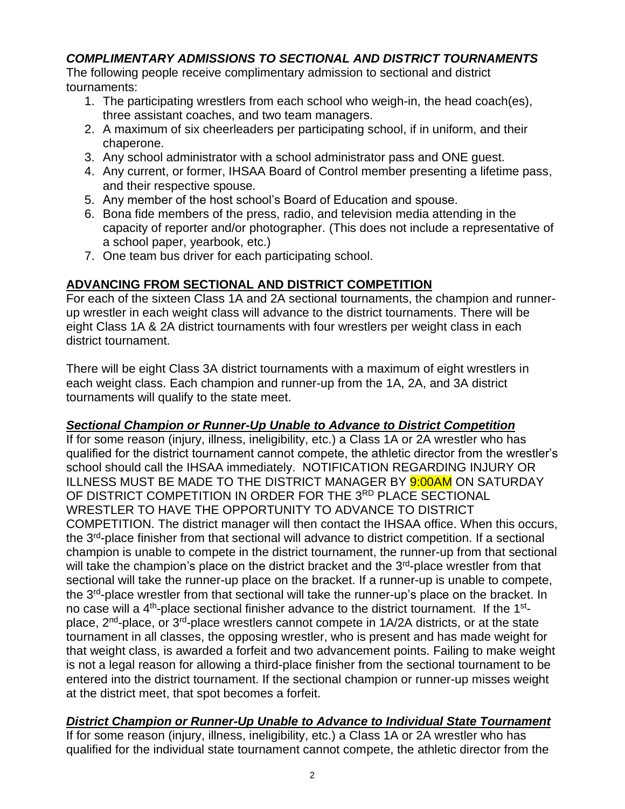## *COMPLIMENTARY ADMISSIONS TO SECTIONAL AND DISTRICT TOURNAMENTS*

The following people receive complimentary admission to sectional and district tournaments:

- 1. The participating wrestlers from each school who weigh-in, the head coach(es), three assistant coaches, and two team managers.
- 2. A maximum of six cheerleaders per participating school, if in uniform, and their chaperone.
- 3. Any school administrator with a school administrator pass and ONE guest.
- 4. Any current, or former, IHSAA Board of Control member presenting a lifetime pass, and their respective spouse*.*
- 5. Any member of the host school's Board of Education and spouse.
- 6. Bona fide members of the press, radio, and television media attending in the capacity of reporter and/or photographer. (This does not include a representative of a school paper, yearbook, etc.)
- 7. One team bus driver for each participating school.

### **ADVANCING FROM SECTIONAL AND DISTRICT COMPETITION**

For each of the sixteen Class 1A and 2A sectional tournaments, the champion and runnerup wrestler in each weight class will advance to the district tournaments. There will be eight Class 1A & 2A district tournaments with four wrestlers per weight class in each district tournament.

There will be eight Class 3A district tournaments with a maximum of eight wrestlers in each weight class. Each champion and runner-up from the 1A, 2A, and 3A district tournaments will qualify to the state meet.

### *Sectional Champion or Runner-Up Unable to Advance to District Competition*

If for some reason (injury, illness, ineligibility, etc.) a Class 1A or 2A wrestler who has qualified for the district tournament cannot compete, the athletic director from the wrestler's school should call the IHSAA immediately. NOTIFICATION REGARDING INJURY OR ILLNESS MUST BE MADE TO THE DISTRICT MANAGER BY 9:00AM ON SATURDAY OF DISTRICT COMPETITION IN ORDER FOR THE 3RD PLACE SECTIONAL WRESTLER TO HAVE THE OPPORTUNITY TO ADVANCE TO DISTRICT COMPETITION. The district manager will then contact the IHSAA office. When this occurs, the 3<sup>rd</sup>-place finisher from that sectional will advance to district competition. If a sectional champion is unable to compete in the district tournament, the runner-up from that sectional will take the champion's place on the district bracket and the 3<sup>rd</sup>-place wrestler from that sectional will take the runner-up place on the bracket. If a runner-up is unable to compete, the 3<sup>rd</sup>-place wrestler from that sectional will take the runner-up's place on the bracket. In no case will a 4<sup>th</sup>-place sectional finisher advance to the district tournament. If the 1<sup>st</sup>place, 2<sup>nd</sup>-place, or 3<sup>rd</sup>-place wrestlers cannot compete in 1A/2A districts, or at the state tournament in all classes, the opposing wrestler, who is present and has made weight for that weight class, is awarded a forfeit and two advancement points. Failing to make weight is not a legal reason for allowing a third-place finisher from the sectional tournament to be entered into the district tournament. If the sectional champion or runner-up misses weight at the district meet, that spot becomes a forfeit.

# *District Champion or Runner-Up Unable to Advance to Individual State Tournament*

If for some reason (injury, illness, ineligibility, etc.) a Class 1A or 2A wrestler who has qualified for the individual state tournament cannot compete, the athletic director from the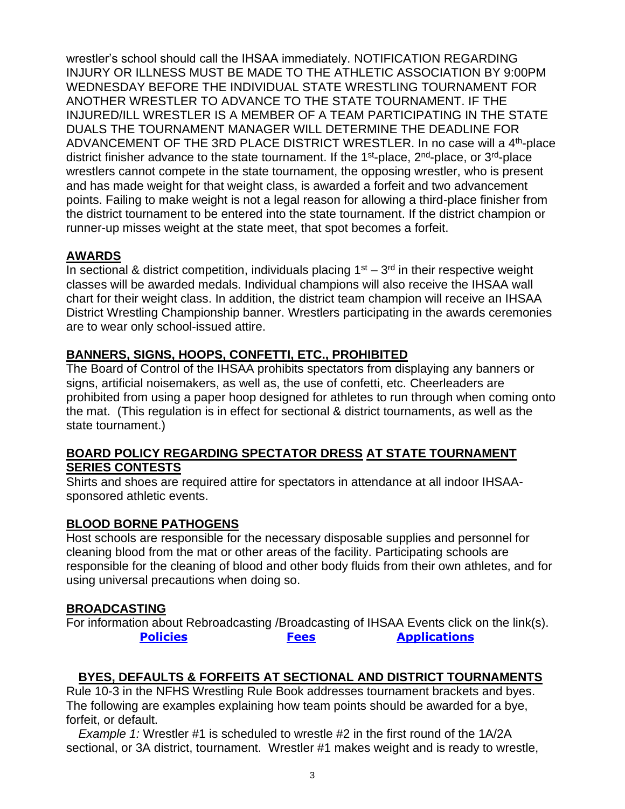wrestler's school should call the IHSAA immediately. NOTIFICATION REGARDING INJURY OR ILLNESS MUST BE MADE TO THE ATHLETIC ASSOCIATION BY 9:00PM WEDNESDAY BEFORE THE INDIVIDUAL STATE WRESTLING TOURNAMENT FOR ANOTHER WRESTLER TO ADVANCE TO THE STATE TOURNAMENT. IF THE INJURED/ILL WRESTLER IS A MEMBER OF A TEAM PARTICIPATING IN THE STATE DUALS THE TOURNAMENT MANAGER WILL DETERMINE THE DEADLINE FOR ADVANCEMENT OF THE 3RD PLACE DISTRICT WRESTLER. In no case will a 4<sup>th</sup>-place district finisher advance to the state tournament. If the 1<sup>st</sup>-place, 2<sup>nd</sup>-place, or 3<sup>rd</sup>-place wrestlers cannot compete in the state tournament, the opposing wrestler, who is present and has made weight for that weight class, is awarded a forfeit and two advancement points. Failing to make weight is not a legal reason for allowing a third-place finisher from the district tournament to be entered into the state tournament. If the district champion or runner-up misses weight at the state meet, that spot becomes a forfeit.

#### **AWARDS**

In sectional & district competition, individuals placing  $1<sup>st</sup> - 3<sup>rd</sup>$  in their respective weight classes will be awarded medals. Individual champions will also receive the IHSAA wall chart for their weight class. In addition, the district team champion will receive an IHSAA District Wrestling Championship banner. Wrestlers participating in the awards ceremonies are to wear only school-issued attire.

### **BANNERS, SIGNS, HOOPS, CONFETTI, ETC., PROHIBITED**

The Board of Control of the IHSAA prohibits spectators from displaying any banners or signs, artificial noisemakers, as well as, the use of confetti, etc. Cheerleaders are prohibited from using a paper hoop designed for athletes to run through when coming onto the mat. (This regulation is in effect for sectional & district tournaments, as well as the state tournament.)

#### **BOARD POLICY REGARDING SPECTATOR DRESS AT STATE TOURNAMENT SERIES CONTESTS**

Shirts and shoes are required attire for spectators in attendance at all indoor IHSAAsponsored athletic events.

### **BLOOD BORNE PATHOGENS**

Host schools are responsible for the necessary disposable supplies and personnel for cleaning blood from the mat or other areas of the facility. Participating schools are responsible for the cleaning of blood and other body fluids from their own athletes, and for using universal precautions when doing so.

### **BROADCASTING**

For information about Rebroadcasting /Broadcasting of IHSAA Events click on the link(s). **[Policies](http://www.iahsaa.org/wp-content/uploads/2018/10/2018-19-Broadcasts-Rules-10.16.pdf) [Fees](http://www.iahsaa.org/wp-content/uploads/2018/10/2018-19-Broadcasts-Fees-10.16.pdf) [Applications](http://www.iahsaa.org/wp-content/uploads/2018/10/2018-19-Broadcasts-Application-10.16.pdf)**

### **BYES, DEFAULTS & FORFEITS AT SECTIONAL AND DISTRICT TOURNAMENTS**

Rule 10-3 in the NFHS Wrestling Rule Book addresses tournament brackets and byes. The following are examples explaining how team points should be awarded for a bye, forfeit, or default.

*Example 1:* Wrestler #1 is scheduled to wrestle #2 in the first round of the 1A/2A sectional, or 3A district, tournament. Wrestler #1 makes weight and is ready to wrestle,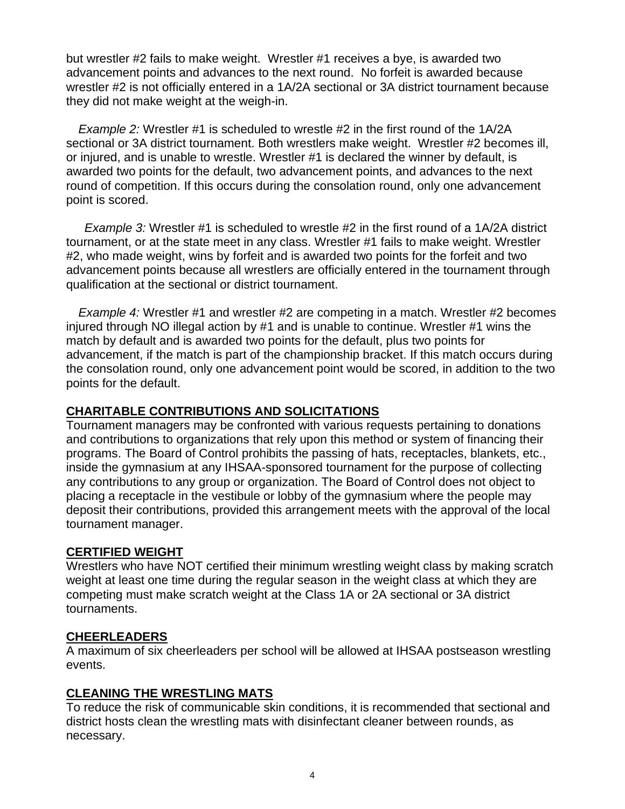but wrestler #2 fails to make weight. Wrestler #1 receives a bye, is awarded two advancement points and advances to the next round. No forfeit is awarded because wrestler #2 is not officially entered in a 1A/2A sectional or 3A district tournament because they did not make weight at the weigh-in.

*Example 2:* Wrestler #1 is scheduled to wrestle #2 in the first round of the 1A/2A sectional or 3A district tournament. Both wrestlers make weight. Wrestler #2 becomes ill, or injured, and is unable to wrestle. Wrestler #1 is declared the winner by default, is awarded two points for the default, two advancement points, and advances to the next round of competition. If this occurs during the consolation round, only one advancement point is scored.

*Example 3:* Wrestler #1 is scheduled to wrestle #2 in the first round of a 1A/2A district tournament, or at the state meet in any class. Wrestler #1 fails to make weight. Wrestler #2, who made weight, wins by forfeit and is awarded two points for the forfeit and two advancement points because all wrestlers are officially entered in the tournament through qualification at the sectional or district tournament.

*Example 4:* Wrestler #1 and wrestler #2 are competing in a match. Wrestler #2 becomes injured through NO illegal action by #1 and is unable to continue. Wrestler #1 wins the match by default and is awarded two points for the default, plus two points for advancement, if the match is part of the championship bracket. If this match occurs during the consolation round, only one advancement point would be scored, in addition to the two points for the default.

#### **CHARITABLE CONTRIBUTIONS AND SOLICITATIONS**

Tournament managers may be confronted with various requests pertaining to donations and contributions to organizations that rely upon this method or system of financing their programs. The Board of Control prohibits the passing of hats, receptacles, blankets, etc., inside the gymnasium at any IHSAA-sponsored tournament for the purpose of collecting any contributions to any group or organization. The Board of Control does not object to placing a receptacle in the vestibule or lobby of the gymnasium where the people may deposit their contributions, provided this arrangement meets with the approval of the local tournament manager.

### **CERTIFIED WEIGHT**

Wrestlers who have NOT certified their minimum wrestling weight class by making scratch weight at least one time during the regular season in the weight class at which they are competing must make scratch weight at the Class 1A or 2A sectional or 3A district tournaments.

### **CHEERLEADERS**

A maximum of six cheerleaders per school will be allowed at IHSAA postseason wrestling events.

# **CLEANING THE WRESTLING MATS**

To reduce the risk of communicable skin conditions, it is recommended that sectional and district hosts clean the wrestling mats with disinfectant cleaner between rounds, as necessary.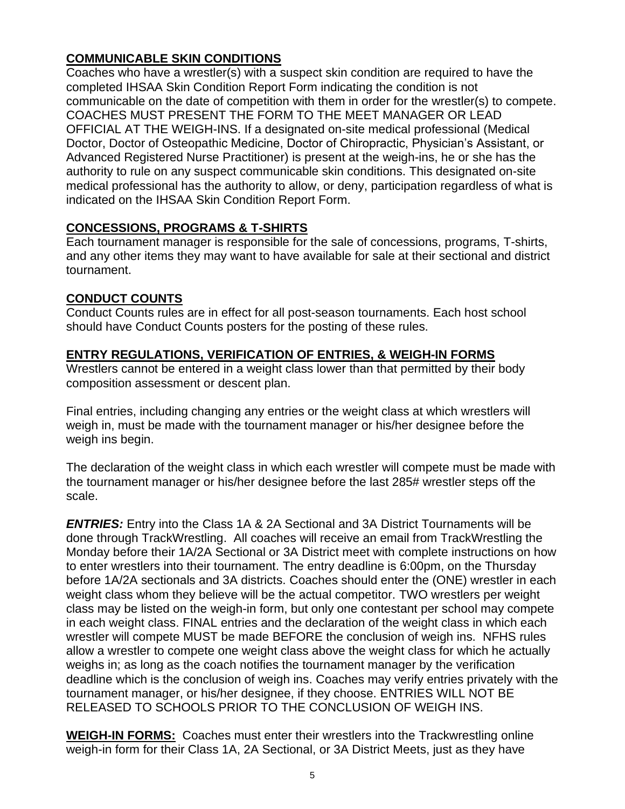# **COMMUNICABLE SKIN CONDITIONS**

Coaches who have a wrestler(s) with a suspect skin condition are required to have the completed IHSAA Skin Condition Report Form indicating the condition is not communicable on the date of competition with them in order for the wrestler(s) to compete. COACHES MUST PRESENT THE FORM TO THE MEET MANAGER OR LEAD OFFICIAL AT THE WEIGH-INS. If a designated on-site medical professional (Medical Doctor, Doctor of Osteopathic Medicine, Doctor of Chiropractic, Physician's Assistant, or Advanced Registered Nurse Practitioner) is present at the weigh-ins, he or she has the authority to rule on any suspect communicable skin conditions. This designated on-site medical professional has the authority to allow, or deny, participation regardless of what is indicated on the IHSAA Skin Condition Report Form.

### **CONCESSIONS, PROGRAMS & T-SHIRTS**

Each tournament manager is responsible for the sale of concessions, programs, T-shirts, and any other items they may want to have available for sale at their sectional and district tournament.

### **CONDUCT COUNTS**

Conduct Counts rules are in effect for all post-season tournaments. Each host school should have Conduct Counts posters for the posting of these rules.

### **ENTRY REGULATIONS, VERIFICATION OF ENTRIES, & WEIGH-IN FORMS**

Wrestlers cannot be entered in a weight class lower than that permitted by their body composition assessment or descent plan.

Final entries, including changing any entries or the weight class at which wrestlers will weigh in, must be made with the tournament manager or his/her designee before the weigh ins begin.

The declaration of the weight class in which each wrestler will compete must be made with the tournament manager or his/her designee before the last 285# wrestler steps off the scale.

*ENTRIES:* Entry into the Class 1A & 2A Sectional and 3A District Tournaments will be done through TrackWrestling. All coaches will receive an email from TrackWrestling the Monday before their 1A/2A Sectional or 3A District meet with complete instructions on how to enter wrestlers into their tournament. The entry deadline is 6:00pm, on the Thursday before 1A/2A sectionals and 3A districts. Coaches should enter the (ONE) wrestler in each weight class whom they believe will be the actual competitor. TWO wrestlers per weight class may be listed on the weigh-in form, but only one contestant per school may compete in each weight class. FINAL entries and the declaration of the weight class in which each wrestler will compete MUST be made BEFORE the conclusion of weigh ins. NFHS rules allow a wrestler to compete one weight class above the weight class for which he actually weighs in; as long as the coach notifies the tournament manager by the verification deadline which is the conclusion of weigh ins. Coaches may verify entries privately with the tournament manager, or his/her designee, if they choose. ENTRIES WILL NOT BE RELEASED TO SCHOOLS PRIOR TO THE CONCLUSION OF WEIGH INS.

**WEIGH-IN FORMS:** Coaches must enter their wrestlers into the Trackwrestling online weigh-in form for their Class 1A, 2A Sectional, or 3A District Meets, just as they have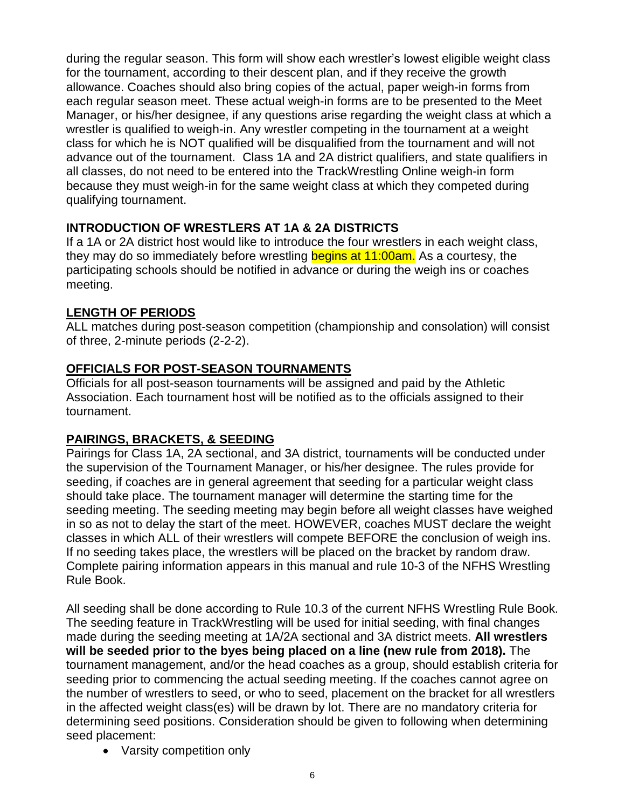during the regular season. This form will show each wrestler's lowest eligible weight class for the tournament, according to their descent plan, and if they receive the growth allowance. Coaches should also bring copies of the actual, paper weigh-in forms from each regular season meet. These actual weigh-in forms are to be presented to the Meet Manager, or his/her designee, if any questions arise regarding the weight class at which a wrestler is qualified to weigh-in. Any wrestler competing in the tournament at a weight class for which he is NOT qualified will be disqualified from the tournament and will not advance out of the tournament. Class 1A and 2A district qualifiers, and state qualifiers in all classes, do not need to be entered into the TrackWrestling Online weigh-in form because they must weigh-in for the same weight class at which they competed during qualifying tournament.

### **INTRODUCTION OF WRESTLERS AT 1A & 2A DISTRICTS**

If a 1A or 2A district host would like to introduce the four wrestlers in each weight class, they may do so immediately before wrestling **begins at 11:00am.** As a courtesy, the participating schools should be notified in advance or during the weigh ins or coaches meeting.

## **LENGTH OF PERIODS**

ALL matches during post-season competition (championship and consolation) will consist of three, 2-minute periods (2-2-2).

## **OFFICIALS FOR POST-SEASON TOURNAMENTS**

Officials for all post-season tournaments will be assigned and paid by the Athletic Association. Each tournament host will be notified as to the officials assigned to their tournament.

# **PAIRINGS, BRACKETS, & SEEDING**

Pairings for Class 1A, 2A sectional, and 3A district, tournaments will be conducted under the supervision of the Tournament Manager, or his/her designee. The rules provide for seeding, if coaches are in general agreement that seeding for a particular weight class should take place. The tournament manager will determine the starting time for the seeding meeting. The seeding meeting may begin before all weight classes have weighed in so as not to delay the start of the meet. HOWEVER, coaches MUST declare the weight classes in which ALL of their wrestlers will compete BEFORE the conclusion of weigh ins. If no seeding takes place, the wrestlers will be placed on the bracket by random draw. Complete pairing information appears in this manual and rule 10-3 of the NFHS Wrestling Rule Book.

All seeding shall be done according to Rule 10.3 of the current NFHS Wrestling Rule Book. The seeding feature in TrackWrestling will be used for initial seeding, with final changes made during the seeding meeting at 1A/2A sectional and 3A district meets. **All wrestlers will be seeded prior to the byes being placed on a line (new rule from 2018).** The tournament management, and/or the head coaches as a group, should establish criteria for seeding prior to commencing the actual seeding meeting. If the coaches cannot agree on the number of wrestlers to seed, or who to seed, placement on the bracket for all wrestlers in the affected weight class(es) will be drawn by lot. There are no mandatory criteria for determining seed positions. Consideration should be given to following when determining seed placement:

• Varsity competition only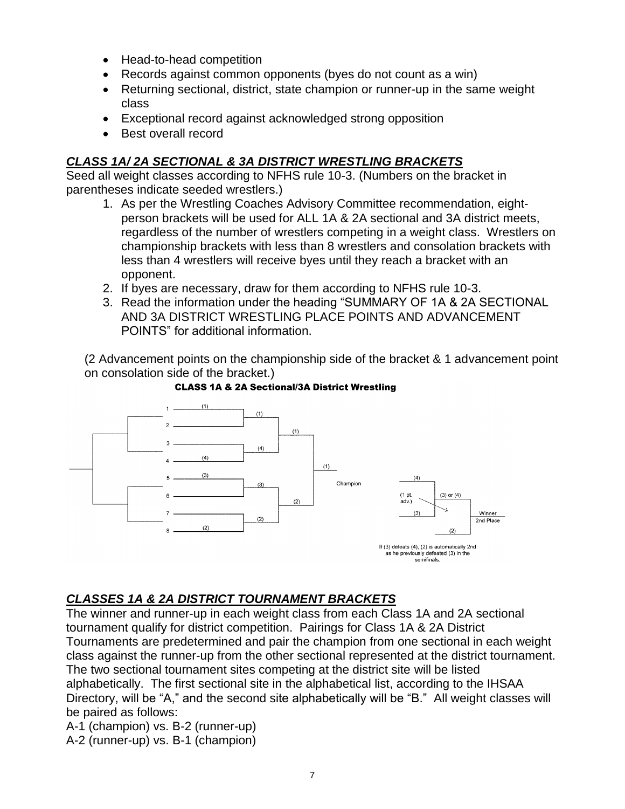- Head-to-head competition
- Records against common opponents (byes do not count as a win)
- Returning sectional, district, state champion or runner-up in the same weight class
- Exceptional record against acknowledged strong opposition
- Best overall record

### *CLASS 1A/ 2A SECTIONAL & 3A DISTRICT WRESTLING BRACKETS*

Seed all weight classes according to NFHS rule 10-3. (Numbers on the bracket in parentheses indicate seeded wrestlers.)

- 1. As per the Wrestling Coaches Advisory Committee recommendation, eightperson brackets will be used for ALL 1A & 2A sectional and 3A district meets, regardless of the number of wrestlers competing in a weight class. Wrestlers on championship brackets with less than 8 wrestlers and consolation brackets with less than 4 wrestlers will receive byes until they reach a bracket with an opponent.
- 2. If byes are necessary, draw for them according to NFHS rule 10-3.
- 3. Read the information under the heading "SUMMARY OF 1A & 2A SECTIONAL AND 3A DISTRICT WRESTLING PLACE POINTS AND ADVANCEMENT POINTS" for additional information.

(2 Advancement points on the championship side of the bracket & 1 advancement point on consolation side of the bracket.)



#### **CLASS 1A & 2A Sectional/3A District Wrestling**

### *CLASSES 1A & 2A DISTRICT TOURNAMENT BRACKETS*

The winner and runner-up in each weight class from each Class 1A and 2A sectional tournament qualify for district competition. Pairings for Class 1A & 2A District Tournaments are predetermined and pair the champion from one sectional in each weight class against the runner-up from the other sectional represented at the district tournament. The two sectional tournament sites competing at the district site will be listed alphabetically. The first sectional site in the alphabetical list, according to the IHSAA Directory, will be "A," and the second site alphabetically will be "B." All weight classes will be paired as follows:

A-1 (champion) vs. B-2 (runner-up)

A-2 (runner-up) vs. B-1 (champion)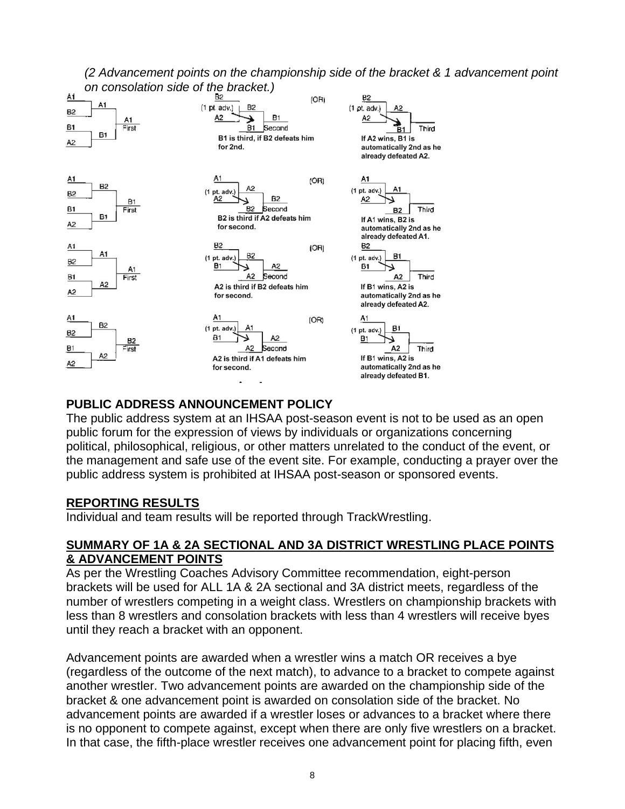

*(2 Advancement points on the championship side of the bracket & 1 advancement point* 

### **PUBLIC ADDRESS ANNOUNCEMENT POLICY**

The public address system at an IHSAA post-season event is not to be used as an open public forum for the expression of views by individuals or organizations concerning political, philosophical, religious, or other matters unrelated to the conduct of the event, or the management and safe use of the event site. For example, conducting a prayer over the public address system is prohibited at IHSAA post-season or sponsored events.

#### **REPORTING RESULTS**

Individual and team results will be reported through TrackWrestling.

#### **SUMMARY OF 1A & 2A SECTIONAL AND 3A DISTRICT WRESTLING PLACE POINTS & ADVANCEMENT POINTS**

As per the Wrestling Coaches Advisory Committee recommendation, eight-person brackets will be used for ALL 1A & 2A sectional and 3A district meets, regardless of the number of wrestlers competing in a weight class. Wrestlers on championship brackets with less than 8 wrestlers and consolation brackets with less than 4 wrestlers will receive byes until they reach a bracket with an opponent.

Advancement points are awarded when a wrestler wins a match OR receives a bye (regardless of the outcome of the next match), to advance to a bracket to compete against another wrestler. Two advancement points are awarded on the championship side of the bracket & one advancement point is awarded on consolation side of the bracket. No advancement points are awarded if a wrestler loses or advances to a bracket where there is no opponent to compete against, except when there are only five wrestlers on a bracket. In that case, the fifth-place wrestler receives one advancement point for placing fifth, even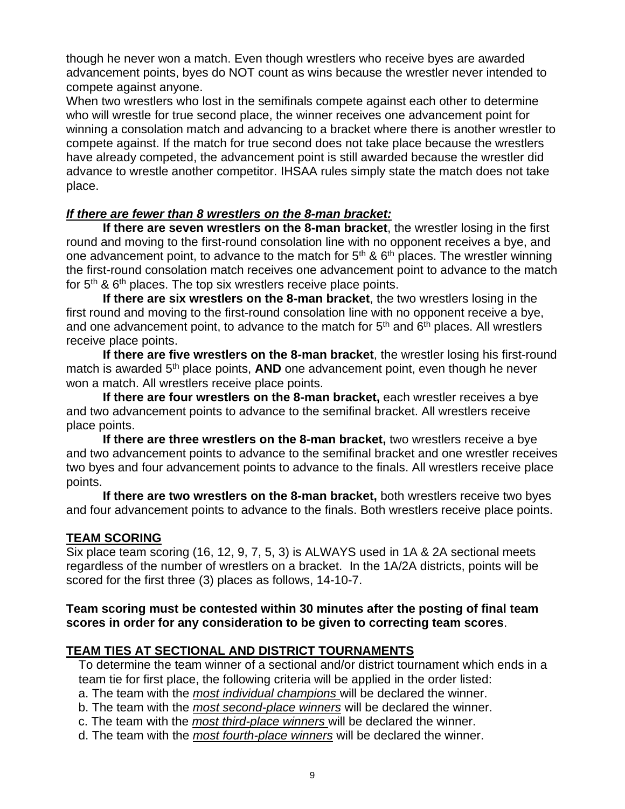though he never won a match. Even though wrestlers who receive byes are awarded advancement points, byes do NOT count as wins because the wrestler never intended to compete against anyone.

When two wrestlers who lost in the semifinals compete against each other to determine who will wrestle for true second place, the winner receives one advancement point for winning a consolation match and advancing to a bracket where there is another wrestler to compete against. If the match for true second does not take place because the wrestlers have already competed, the advancement point is still awarded because the wrestler did advance to wrestle another competitor. IHSAA rules simply state the match does not take place.

### *If there are fewer than 8 wrestlers on the 8-man bracket:*

**If there are seven wrestlers on the 8-man bracket**, the wrestler losing in the first round and moving to the first-round consolation line with no opponent receives a bye, and one advancement point, to advance to the match for  $5<sup>th</sup>$  &  $6<sup>th</sup>$  places. The wrestler winning the first-round consolation match receives one advancement point to advance to the match for  $5<sup>th</sup>$  &  $6<sup>th</sup>$  places. The top six wrestlers receive place points.

**If there are six wrestlers on the 8-man bracket**, the two wrestlers losing in the first round and moving to the first-round consolation line with no opponent receive a bye, and one advancement point, to advance to the match for  $5<sup>th</sup>$  and  $6<sup>th</sup>$  places. All wrestlers receive place points.

**If there are five wrestlers on the 8-man bracket**, the wrestler losing his first-round match is awarded 5<sup>th</sup> place points, AND one advancement point, even though he never won a match. All wrestlers receive place points.

**If there are four wrestlers on the 8-man bracket,** each wrestler receives a bye and two advancement points to advance to the semifinal bracket. All wrestlers receive place points.

**If there are three wrestlers on the 8-man bracket,** two wrestlers receive a bye and two advancement points to advance to the semifinal bracket and one wrestler receives two byes and four advancement points to advance to the finals. All wrestlers receive place points.

**If there are two wrestlers on the 8-man bracket,** both wrestlers receive two byes and four advancement points to advance to the finals. Both wrestlers receive place points.

### **TEAM SCORING**

Six place team scoring (16, 12, 9, 7, 5, 3) is ALWAYS used in 1A & 2A sectional meets regardless of the number of wrestlers on a bracket. In the 1A/2A districts, points will be scored for the first three (3) places as follows, 14-10-7.

#### **Team scoring must be contested within 30 minutes after the posting of final team scores in order for any consideration to be given to correcting team scores**.

# **TEAM TIES AT SECTIONAL AND DISTRICT TOURNAMENTS**

To determine the team winner of a sectional and/or district tournament which ends in a team tie for first place, the following criteria will be applied in the order listed:

a. The team with the *most individual champions* will be declared the winner.

b. The team with the *most second-place winners* will be declared the winner.

c. The team with the *most third-place winners* will be declared the winner.

d. The team with the *most fourth-place winners* will be declared the winner.